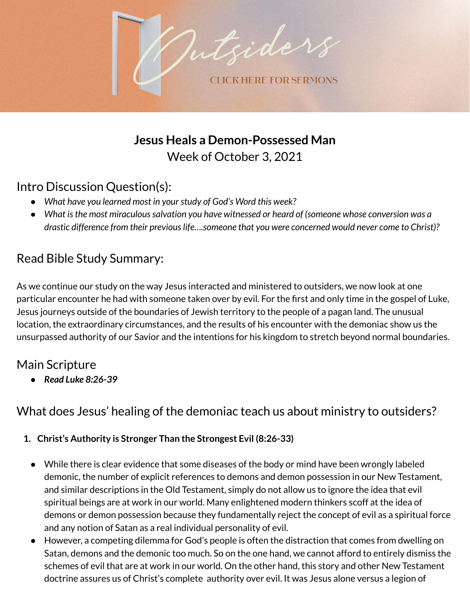

**Jesus Heals a Demon-Possessed Man** Week of October 3, 2021

## Intro Discussion Question(s):

- *● What have you learned most in yourstudy of God's Word this week?*
- *● What isthe most miraculoussalvation you have witnessed or heard of (someone whose conversion was a drastic difference from their previouslife….someone that you were concerned would never come to Christ)?*

# Read Bible Study Summary:

As we continue our study on the way Jesus interacted and ministered to outsiders, we now look at one particular encounter he had with someone taken over by evil. For the first and only time in the gospel of Luke, Jesus journeys outside of the boundaries of Jewish territory to the people of a pagan land. The unusual location, the extraordinary circumstances, and the results of his encounter with the demoniac show us the unsurpassed authority of our Savior and the intentions for his kingdom to stretch beyond normal boundaries.

## Main Scripture

*● Read Luke 8:26-39*

## What does Jesus' healing of the demoniac teach us about ministry to outsiders?

#### **1. Christ's Authority is Stronger Than the Strongest Evil (8:26-33)**

- While there is clear evidence that some diseases of the body or mind have been wrongly labeled demonic, the number of explicit references to demons and demon possession in our New Testament, and similar descriptions in the Old Testament, simply do not allow us to ignore the idea that evil spiritual beings are at work in our world. Many enlightened modern thinkers scoff at the idea of demons or demon possession because they fundamentally reject the concept of evil as a spiritual force and any notion of Satan as a real individual personality of evil.
- However, a competing dilemma for God's people is often the distraction that comes from dwelling on Satan, demons and the demonic too much. So on the one hand, we cannot afford to entirely dismiss the schemes of evil that are at work in our world. On the other hand, this story and other New Testament doctrine assures us of Christ's complete authority over evil. It was Jesus alone versus a legion of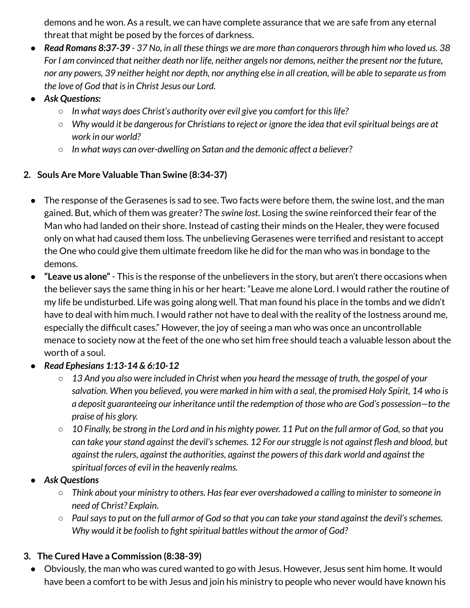demons and he won. As a result, we can have complete assurance that we are safe from any eternal threat that might be posed by the forces of darkness.

- Read Romans 8:37-39 37 No, in all these things we are more than conquerors through him who loved us. 38 For I am convinced that neither death nor life, neither angels nor demons, neither the present nor the future, nor any powers, 39 neither height nor depth, nor anything else in all creation, will be able to separate us from *the love of God that isin Christ Jesus our Lord.*
- *● Ask Questions:*
	- *○ In what ways does Christ's authority over evil give you comfort for thislife?*
	- *○ Why would it be dangerousfor Christiansto reject or ignore the idea that evilspiritual beings are at work in our world?*
	- *○ In what ways can over-dwelling on Satan and the demonic affect a believer?*

#### **2. Souls Are More Valuable Than Swine (8:34-37)**

- The response of the Gerasenes is sad to see. Two facts were before them, the swine lost, and the man gained. But, which of them was greater? The *swine lost*. Losing the swine reinforced their fear of the Man who had landed on their shore. Instead of casting their minds on the Healer, they were focused only on what had caused them loss. The unbelieving Gerasenes were terrified and resistant to accept the One who could give them ultimate freedom like he did for the man who was in bondage to the demons.
- **"Leave us alone"** This is the response of the unbelievers in the story, but aren't there occasions when the believer says the same thing in his or her heart: "Leave me alone Lord. I would rather the routine of my life be undisturbed. Life was going along well. That man found his place in the tombs and we didn't have to deal with him much. I would rather not have to deal with the reality of the lostness around me, especially the difficult cases." However, the joy of seeing a man who was once an uncontrollable menace to society now at the feet of the one who set him free should teach a valuable lesson about the worth of a soul.
- *Read Ephesians 1:13-14 & 6:10-12*
	- $\circ$  13 And you also were included in Christ when you heard the message of truth, the gospel of your salvation. When you believed, you were marked in him with a seal, the promised Holy Spirit, 14 who is *a deposit guaranteeing our inheritance until the redemption of those who are God's possession—to the praise of his glory.*
	- $\circ$  10 Finally, be strong in the Lord and in his mighty power. 11 Put on the full armor of God, so that you *can take yourstand against the devil'sschemes. 12 For ourstruggle is not against flesh and blood, but against the rulers, against the authorities, against the powers of this dark world and against the spiritual forces of evil in the heavenly realms.*
- *● Ask Questions*
	- *○ Think about your ministry to others. Hasfear ever overshadowed a calling to minister to someone in need of Christ? Explain.*
	- $\circ$  Paul says to put on the full armor of God so that you can take your stand against the devil's schemes. *Why* would it be foolish to fight spiritual battles without the armor of God?

### **3. The Cured Have a Commission (8:38-39)**

● Obviously, the man who was cured wanted to go with Jesus. However, Jesus sent him home. It would have been a comfort to be with Jesus and join his ministry to people who never would have known his